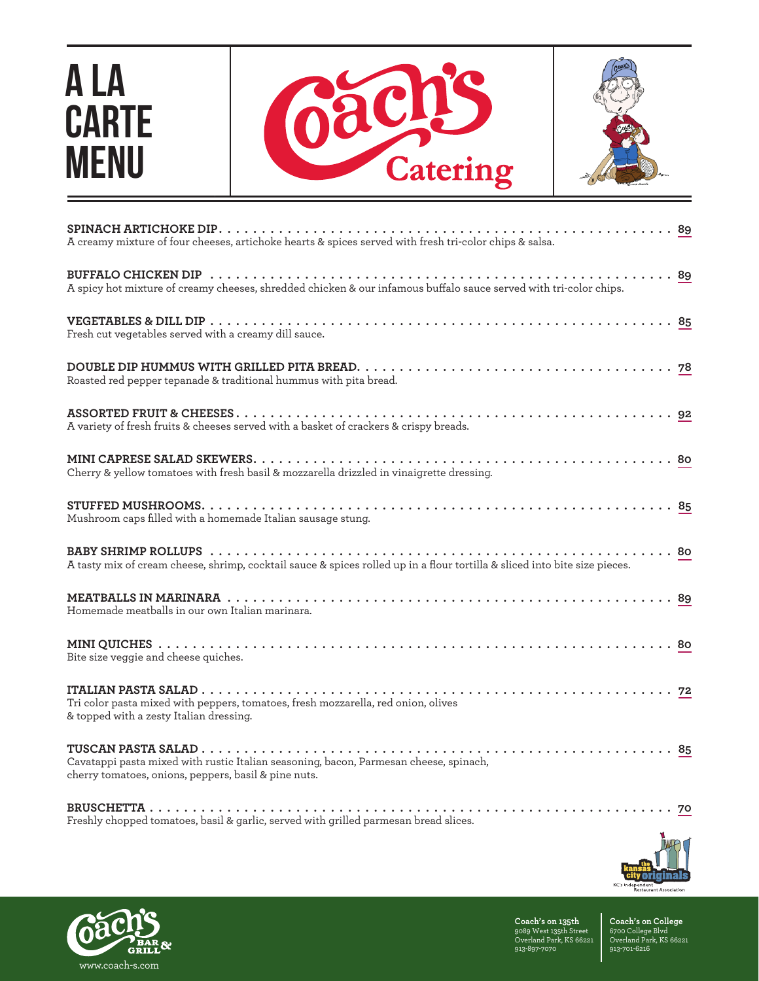## A LA **CARTE** MENU





| A creamy mixture of four cheeses, artichoke hearts & spices served with fresh tri-color chips & salsa.                                        |
|-----------------------------------------------------------------------------------------------------------------------------------------------|
| A spicy hot mixture of creamy cheeses, shredded chicken & our infamous buffalo sauce served with tri-color chips.                             |
| Fresh cut vegetables served with a creamy dill sauce.                                                                                         |
| Roasted red pepper tepanade & traditional hummus with pita bread.                                                                             |
| A variety of fresh fruits & cheeses served with a basket of crackers & crispy breads.                                                         |
| Cherry & yellow tomatoes with fresh basil & mozzarella drizzled in vinaigrette dressing.                                                      |
| Mushroom caps filled with a homemade Italian sausage stung.                                                                                   |
| $\ldots$ 80<br>A tasty mix of cream cheese, shrimp, cocktail sauce & spices rolled up in a flour tortilla & sliced into bite size pieces.     |
| Homemade meatballs in our own Italian marinara.                                                                                               |
| Bite size veggie and cheese quiches.                                                                                                          |
| Tri color pasta mixed with peppers, tomatoes, fresh mozzarella, red onion, olives<br>& topped with a zesty Italian dressing.                  |
| Cavatappi pasta mixed with rustic Italian seasoning, bacon, Parmesan cheese, spinach,<br>cherry tomatoes, onions, peppers, basil & pine nuts. |
| Freshly chopped tomatoes, basil & garlic, served with grilled parmesan bread slices.                                                          |





**Coach's on 135th** 9089 West 135th Street Overland Park, KS 66221 913-897-7070

**Coach's on College** 6700 College Blvd Overland Park, KS 66221 913-701-6216